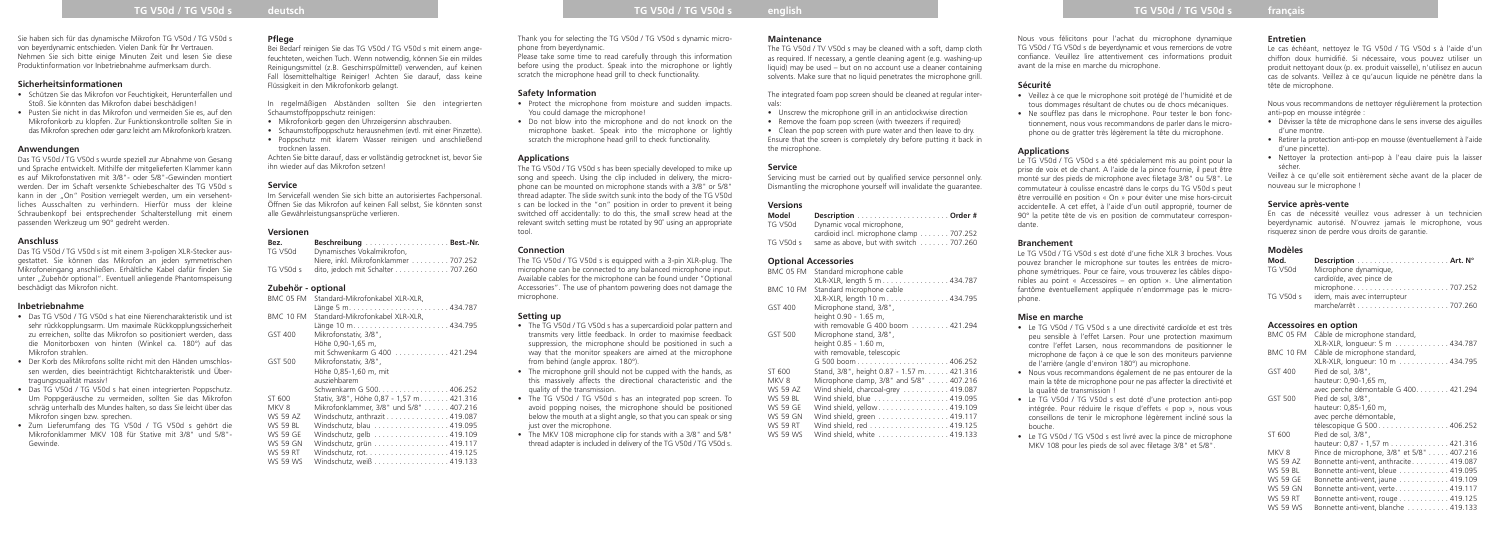## **TG V50d / TG V50d s deutsch TG V50d / TG V50d s english TG V50d / TG V50d s français**

#### **Sicherheitsinformationen**

- Schützen Sie das Mikrofon vor Feuchtigkeit, Herunterfallen und Stoß. Sie könnten das Mikrofon dabei beschädigen!
- Pusten Sie nicht in das Mikrofon und vermeiden Sie es, auf den Mikrofonkorb zu klopfen. Zur Funktionskontrolle sollten Sie in das Mikrofon sprechen oder ganz leicht am Mikrofonkorb kratzen.

#### **Anwendungen**

Das TG V50d / TG V50d s wurde speziell zur Abnahme von Gesang und Sprache entwickelt. Mithilfe der mitgelieferten Klammer kann es auf Mikrofonstativen mit 3/8"- oder 5/8"-Gewinden montiert werden. Der im Schaft versenkte Schiebeschalter des TG V50d s kann in der "On" Position verriegelt werden, um ein versehentliches Ausschalten zu verhindern. Hierfür muss der kleine Schraubenkopf bei entsprechender Schalterstellung mit einem passenden Werkzeug um 90° gedreht werden.

#### **Anschluss**

Das TG V50d / TG V50d s ist mit einem 3-poligen XLR-Stecker ausgestattet. Sie können das Mikrofon an jeden symmetrischen Mikrofoneingang anschließen. Erhältliche Kabel dafür finden Sie unter "Zubehör optional". Eventuell anliegende Phantomspeisung beschädigt das Mikrofon nicht.

#### **Inbetriebnahme**

- Das TG V50d / TG V50d s hat eine Nierencharakteristik und ist sehr rückkopplungsarm. Um maximale Rückkopplungssicherheit zu erreichen, sollte das Mikrofon so positioniert werden, dass die Monitorboxen von hinten (Winkel ca. 180°) auf das Mikrofon strahlen.
- Der Korb des Mikrofons sollte nicht mit den Händen umschlossen werden, dies beeinträchtigt Richtcharakteristik und Übertragungsqualität massiv!
- Das TG V50d / TG V50d s hat einen integrierten Poppschutz. Um Poppgeräusche zu vermeiden, sollten Sie das Mikrofon schräg unterhalb des Mundes halten, so dass Sie leicht über das Mikrofon singen bzw. sprechen.
- Zum Lieferumfang des TG V50d / TG V50d s gehört die Mikrofonklammer MKV 108 für Stative mit 3/8" und 5/8"- Gewinde.

#### **Pflege**

Bei Bedarf reinigen Sie das TG V50d / TG V50d s mit einem angefeuchteten, weichen Tuch. Wenn notwendig, können Sie ein mildes Reinigungsmittel (z.B. Geschirrspülmittel) verwenden, auf keinen Fall lösemittelhaltige Reiniger! Achten Sie darauf, dass keine Flüssigkeit in den Mikrofonkorb gelangt.

In regelmäßigen Abständen sollten Sie den integrierten Schaumstoffpoppschutz reinigen:

- Mikrofonkorb gegen den Uhrzeigersinn abschrauben.
- Schaumstoffpoppschutz herausnehmen (evtl. mit einer Pinzette). • Poppschutz mit klarem Wasser reinigen und anschließend

trocknen lassen. Achten Sie bitte darauf, dass er vollständig getrocknet ist, bevor Sie ihn wieder auf das Mikrofon setzen!

#### **Service**

Im Servicefall wenden Sie sich bitte an autorisiertes Fachpersonal. Öffnen Sie das Mikrofon auf keinen Fall selbst, Sie könnten sonst alle Gewährleistungsansprüche verlieren.

## **Versionen**

| Bez.           |                                      |  |
|----------------|--------------------------------------|--|
| <b>TG V50d</b> | Dynamisches Vokalmikrofon,           |  |
|                | Niere, inkl. Mikrofonklammer 707.252 |  |
| TG V50d s      | dito, jedoch mit Schalter 707.260    |  |

The TG V50d / TV V50d s may be cleaned with a soft, damp cloth as required. If necessary, a gentle cleaning agent (e.g. washing-up liquid) may be used – but on no account use a cleaner containing solvents. Make sure that no liquid penetrates the microphone grill.

#### **Zubehör - optional**

| BMC 05 FM        | Standard-Mikrofonkabel XLR-XLR,           |
|------------------|-------------------------------------------|
|                  |                                           |
| BMC 10 FM        | Standard-Mikrofonkabel XLR-XLR.           |
|                  |                                           |
| GST 400          | Mikrofonstativ, 3/8",                     |
|                  | Höhe 0.90-1.65 m.                         |
|                  | mit Schwenkarm G 400 421.294              |
| GST 500          | Mikrofonstativ, 3/8",                     |
|                  | Höhe 0.85-1.60 m, mit                     |
|                  | ausziehbarem                              |
|                  | Schwenkarm G 500. 406.252                 |
| ST 600           | Stativ, 3/8", Höhe 0,87 - 1,57 m. 421.316 |
| MKV <sub>8</sub> | Mikrofonklammer, 3/8" und 5/8" 407.216    |
| WS 59 AZ         | Windschutz, anthrazit 419.087             |
| WS 59 BL         | Windschutz, blau 419.095                  |
| WS 59 GE         | Windschutz, gelb 419.109                  |
| WS 59 GN         | Windschutz, grün 419.117                  |
| <b>WS 59 RT</b>  |                                           |
| WS 59 WS         | Windschutz, weiß 419.133                  |
|                  |                                           |

Thank you for selecting the TG V50d / TG V50d s dynamic microphone from beyerdynamic.

Please take some time to read carefully through this information before using the product. Speak into the microphone or lightly scratch the microphone head grill to check functionality.

#### **Safety Information**

- Protect the microphone from moisture and sudden impacts. You could damage the microphone!
- Do not blow into the microphone and do not knock on the microphone basket. Speak into the microphone or lightly scratch the microphone head grill to check functionality.

#### **Applications**

- Le TG V50d / TG V50d s a une directivité cardioïde et est très peu sensible à l'effet Larsen. Pour une protection maximum contre l'effet Larsen, nous recommandons de positionner le microphone de façon à ce que le son des moniteurs parvienne de l'arrière (angle d'environ 180°) au microphone.
- Nous vous recommandons également de ne pas entourer de la main la tête de microphone pour ne pas affecter la directivité et la qualité de transmission
- Le TG V50d / TG V50d s est doté d'une protection anti-pop intégrée. Pour réduire le risque d'effets « pop », nous vous conseillons de tenir le microphone légèrement incliné sous la bouche.
- Le TG V50d / TG V50d s est livré avec la pince de microphone MKV 108 pour les pieds de sol avec filetage 3/8" et 5/8".

The TG V50d / TG V50d s has been specially developed to mike up song and speech. Using the clip included in delivery, the microphone can be mounted on microphone stands with a 3/8" or 5/8" thread adapter. The slide switch sunk into the body of the TG V50d s can be locked in the "on" position in order to prevent it being switched off accidentally: to do this, the small screw head at the relevant switch setting must be rotated by 90˚ using an appropriate tool.

## **Connection**

The TG V50d / TG V50d s is equipped with a 3-pin XLR-plug. The microphone can be connected to any balanced microphone input. Available cables for the microphone can be found under "Optional Accessories". The use of phantom powering does not damage the microphone.

#### **Setting up**

- The TG V50d / TG V50d s has a supercardioid polar pattern and transmits very little feedback. In order to maximise feedback suppression, the microphone should be positioned in such a way that the monitor speakers are aimed at the microphone from behind (angle approx. 180°).
- The microphone grill should not be cupped with the hands, as this massively affects the directional characteristic and the quality of the transmission.
- The TG V50d / TG V50d s has an integrated pop screen. To avoid popping noises, the microphone should be positioned below the mouth at a slight angle, so that you can speak or sing just over the microphone
- The MKV 108 microphone clip for stands with a 3/8" and 5/8" thread adapter is included in delivery of the TG V50d / TG V50d s.

#### **Maintenance**

The integrated foam pop screen should be cleaned at regular intervals:

- Unscrew the microphone grill in an anticlockwise direction
- Remove the foam pop screen (with tweezers if required)
- Clean the pop screen with pure water and then leave to dry. Ensure that the screen is completely dry before putting it back in the microphone.

#### **Service**

Servicing must be carried out by qualified service personnel only. Dismantling the microphone yourself will invalidate the guarantee.

#### **Versions**

| Model          |                                         |  |
|----------------|-----------------------------------------|--|
| <b>TG V50d</b> | Dynamic vocal microphone,               |  |
|                | cardioid incl. microphone clamp 707.252 |  |
| TG V50d s      | same as above, but with switch 707.260  |  |

#### **Optional Accessories**

| BMC 05 FM        | Standard microphone cable                  |
|------------------|--------------------------------------------|
|                  | XLR-XLR, length 5 m 434.787                |
| BMC 10 FM        | Standard microphone cable                  |
|                  | XLR-XLR, length 10 m 434.795               |
| GST 400          | Microphone stand, 3/8",                    |
|                  | height 0.90 - 1.65 m,                      |
|                  | with removable G 400 boom 421.294          |
| GST 500          | Microphone stand, 3/8",                    |
|                  | height 0.85 - 1.60 m,                      |
|                  | with removable, telescopic                 |
|                  |                                            |
| ST 600           | Stand, 3/8", height 0.87 - 1.57 m. 421.316 |
| MKV <sub>8</sub> | Microphone clamp, 3/8" and 5/8"  407.216   |
| WS 59 AZ         | Wind shield, charcoal-grey 419.087         |
| WS 59 BL         | Wind shield, blue 419.095                  |
| WS 59 GE         | Wind shield, yellow 419.109                |
| <b>WS 59 GN</b>  | Wind shield, green 419.117                 |
| WS 59 RT         |                                            |
| <b>WS 59 WS</b>  | Wind shield, white 419.133                 |

Nous vous félicitons pour l'achat du microphone dynamique TG V50d / TG V50d s de beyerdynamic et vous remercions de votre confiance. Veuillez lire attentivement ces informations produit avant de la mise en marche du microphone.

#### **Sécurité**

- Veillez à ce que le microphone soit protégé de l'humidité et de tous dommages résultant de chutes ou de chocs mécaniques.
- Ne soufflez pas dans le microphone. Pour tester le bon fonctionnement, nous vous recommandons de parler dans le micro-

phone ou de gratter très légèrement la tête du microphone.

#### **Applications**

Le TG V50d / TG V50d s a été spécialement mis au point pour la prise de voix et de chant. A l'aide de la pince fournie, il peut être monté sur des pieds de microphone avec filetage 3/8" ou 5/8". Le commutateur à coulisse encastré dans le corps du TG V50d s peut être verrouillé en position « On » pour éviter une mise hors-circuit accidentelle. A cet effet, à l'aide d'un outil approprié, tourner de 90° la petite tête de vis en position de commutateur correspondante.

#### **Branchement**

Le TG V50d / TG V50d s est doté d'une fiche XLR 3 broches. Vous pouvez brancher le microphone sur toutes les entrées de microphone symétriques. Pour ce faire, vous trouverez les câbles disponibles au point « Accessoires – en option ». Une alimentation fantôme éventuellement appliquée n'endommage pas le microphone.

#### **Mise en marche**

#### **Entretien**

Le cas échéant, nettoyez le TG V50d / TG V50d s à l'aide d'un chiffon doux humidifié. Si nécessaire, vous pouvez utiliser un produit nettoyant doux (p. ex. produit vaisselle), n'utilisez en aucun cas de solvants. Veillez à ce qu'aucun liquide ne pénètre dans la tête de microphone.

Nous vous recommandons de nettoyer régulièrement la protection anti-pop en mousse intégrée :

- Dévisser la tête de microphone dans le sens inverse des aiguilles d'une montre.
- Retirer la protection anti-pop en mousse (éventuellement à l'aide d'une pincette).
- Nettoyer la protection anti-pop à l'eau claire puis la laisser sécher.

Veillez à ce qu'elle soit entièrement sèche avant de la placer de nouveau sur le microphone !

#### **Service après-vente**

En cas de nécessité veuillez vous adresser à un technicien beyerdynamic autorisé. N'ouvrez jamais le microphone, vous risquerez sinon de perdre vous droits de garantie.

#### **Modèles**

| Mod.      |                              |  |
|-----------|------------------------------|--|
| TG V50d   | Microphone dynamique,        |  |
|           | cardioïde, avec pince de     |  |
|           |                              |  |
| TG V50d s | idem, mais avec interrupteur |  |
|           |                              |  |

#### **Accessoires en option**

| BMC 05 FM       | Câble de microphone standard,<br>XLR-XLR, longueur: 5 m 434.787                |
|-----------------|--------------------------------------------------------------------------------|
| BMC 10 FM       | Câble de microphone standard,<br>XLR-XLR, longueur: 10 m 434.795               |
| GST 400         | Pied de sol, 3/8",<br>hauteur: 0.90-1.65 m.                                    |
| GST 500         | avec perche démontable G 400. 421.294<br>Pied de sol, 3/8",                    |
|                 | hauteur: 0,85-1,60 m,<br>avec perche démontable,<br>télescopique G 500 406.252 |
| ST 600          | Pied de sol, 3/8",<br>hauteur: 0,87 - 1,57 m 421.316                           |
| MKV8            | Pince de microphone, 3/8" et 5/8" 407.216                                      |
| WS 59 A7        | Bonnette anti-vent, anthracite 419.087                                         |
| <b>WS 59 BL</b> | Bonnette anti-vent, bleue 419.095                                              |
| <b>WS 59 GE</b> | Bonnette anti-vent, jaune 419.109                                              |
| <b>WS 59 GN</b> | Bonnette anti-vent, verte. 419.117                                             |
| <b>WS 59 RT</b> | Bonnette anti-vent, rouge 419.125                                              |
| <b>WS 59 WS</b> | Bonnette anti-vent, blanche  419.133                                           |